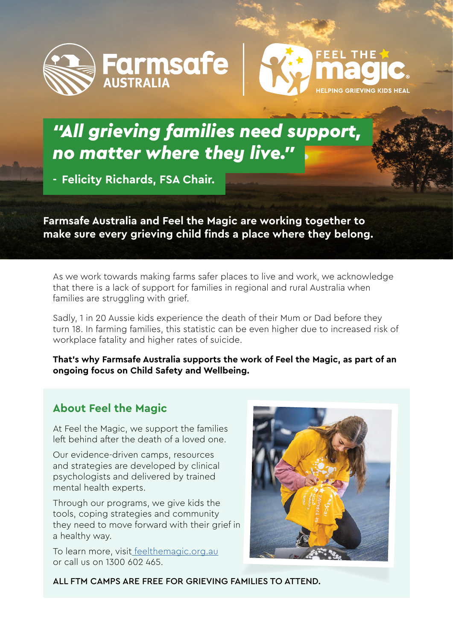



# *"All grieving families need support, no matter where they live."*

**- Felicity Richards, FSA Chair.**

**Farmsafe Australia and Feel the Magic are working together to make sure every grieving child finds a place where they belong.**

As we work towards making farms safer places to live and work, we acknowledge that there is a lack of support for families in regional and rural Australia when families are struggling with grief.

Sadly, 1 in 20 Aussie kids experience the death of their Mum or Dad before they turn 18. In farming families, this statistic can be even higher due to increased risk of workplace fatality and higher rates of suicide.

**That's why Farmsafe Australia supports the work of Feel the Magic, as part of an ongoing focus on Child Safety and Wellbeing.**

## **[About Feel the Magic](https://feelthemagic.org.au/)**

At Feel the Magic, we support the families left behind after the death of a loved one.

Our evidence-driven camps, resources and strategies are developed by clinical psychologists and delivered by trained mental health experts.

Through our programs, we give kids the tools, coping strategies and community they need to move forward with their grief in a healthy way.

To learn more, visi[t feelthemagic.org.au](https://feelthemagic.org.au/) or call us on 1300 602 465.



ALL FTM CAMPS ARE FREE FOR GRIEVING FAMILIES TO ATTEND.